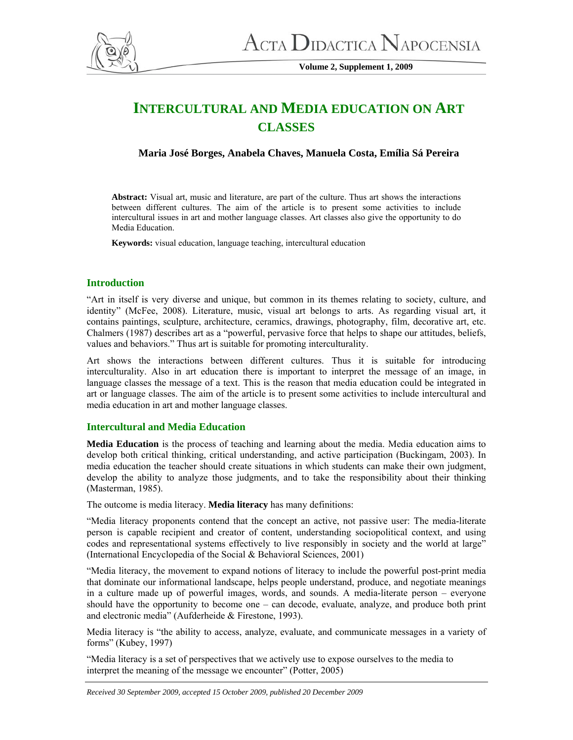

**Volume 2, Supplement 1, 2009** 

# **INTERCULTURAL AND MEDIA EDUCATION ON ART CLASSES**

**Maria José Borges, Anabela Chaves, Manuela Costa, Emília Sá Pereira** 

**Abstract:** Visual art, music and literature, are part of the culture. Thus art shows the interactions between different cultures. The aim of the article is to present some activities to include intercultural issues in art and mother language classes. Art classes also give the opportunity to do Media Education.

**Keywords:** visual education, language teaching, intercultural education

# **Introduction**

"Art in itself is very diverse and unique, but common in its themes relating to society, culture, and identity" (McFee, 2008). Literature, music, visual art belongs to arts. As regarding visual art, it contains paintings, sculpture, architecture, ceramics, drawings, photography, film, decorative art, etc. Chalmers (1987) describes art as a "powerful, pervasive force that helps to shape our attitudes, beliefs, values and behaviors." Thus art is suitable for promoting interculturality.

Art shows the interactions between different cultures. Thus it is suitable for introducing interculturality. Also in art education there is important to interpret the message of an image, in language classes the message of a text. This is the reason that media education could be integrated in art or language classes. The aim of the article is to present some activities to include intercultural and media education in art and mother language classes.

# **Intercultural and Media Education**

**Media Education** is the process of teaching and learning about the media. Media education aims to develop both critical thinking, critical understanding, and active participation (Buckingam, 2003). In media education the teacher should create situations in which students can make their own judgment, develop the ability to analyze those judgments, and to take the responsibility about their thinking (Masterman, 1985).

The outcome is media literacy. **Media literacy** has many definitions:

"Media literacy proponents contend that the concept an active, not passive user: The media-literate person is capable recipient and creator of content, understanding sociopolitical context, and using codes and representational systems effectively to live responsibly in society and the world at large" (International Encyclopedia of the Social & Behavioral Sciences, 2001)

"Media literacy, the movement to expand notions of literacy to include the powerful post-print media that dominate our informational landscape, helps people understand, produce, and negotiate meanings in a culture made up of powerful images, words, and sounds. A media-literate person – everyone should have the opportunity to become one – can decode, evaluate, analyze, and produce both print and electronic media" (Aufderheide & Firestone, 1993).

Media literacy is "the ability to access, analyze, evaluate, and communicate messages in a variety of forms" (Kubey, 1997)

"Media literacy is a set of perspectives that we actively use to expose ourselves to the media to interpret the meaning of the message we encounter" (Potter, 2005)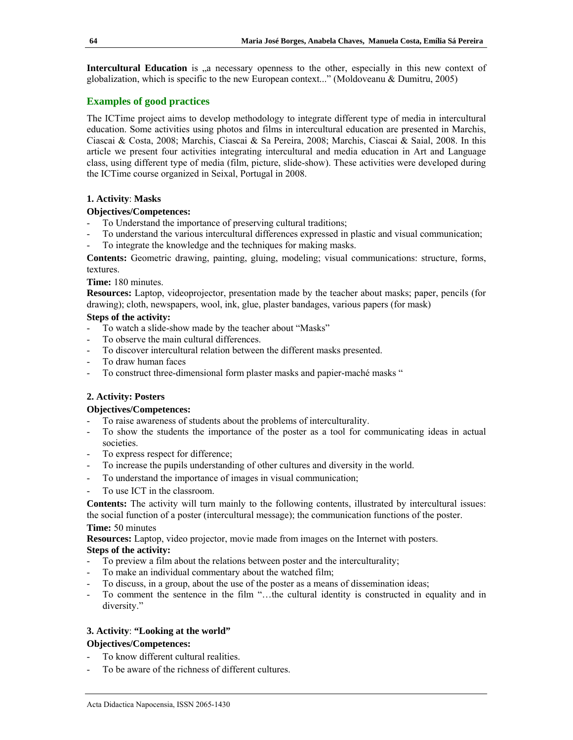**Intercultural Education** is <sub>n</sub> a necessary openness to the other, especially in this new context of globalization, which is specific to the new European context..." (Moldoveanu & Dumitru, 2005)

# **Examples of good practices**

The ICTime project aims to develop methodology to integrate different type of media in intercultural education. Some activities using photos and films in intercultural education are presented in Marchis, Ciascai & Costa, 2008; Marchis, Ciascai & Sa Pereira, 2008; Marchis, Ciascai & Saial, 2008. In this article we present four activities integrating intercultural and media education in Art and Language class, using different type of media (film, picture, slide-show). These activities were developed during the ICTime course organized in Seixal, Portugal in 2008.

# **1. Activity**: **Masks**

# **Objectives/Competences:**

- To Understand the importance of preserving cultural traditions;
- To understand the various intercultural differences expressed in plastic and visual communication;
- To integrate the knowledge and the techniques for making masks.

**Contents:** Geometric drawing, painting, gluing, modeling; visual communications: structure, forms, textures.

# **Time:** 180 minutes.

**Resources:** Laptop, videoprojector, presentation made by the teacher about masks; paper, pencils (for drawing); cloth, newspapers, wool, ink, glue, plaster bandages, various papers (for mask)

# **Steps of the activity:**

- To watch a slide-show made by the teacher about "Masks"
- To observe the main cultural differences.
- To discover intercultural relation between the different masks presented.
- To draw human faces
- To construct three-dimensional form plaster masks and papier-maché masks "

# **2. Activity: Posters**

# **Objectives/Competences:**

- To raise awareness of students about the problems of interculturality.
- To show the students the importance of the poster as a tool for communicating ideas in actual societies.
- To express respect for difference;
- To increase the pupils understanding of other cultures and diversity in the world.
- To understand the importance of images in visual communication;
- To use ICT in the classroom.

**Contents:** The activity will turn mainly to the following contents, illustrated by intercultural issues: the social function of a poster (intercultural message); the communication functions of the poster.

# **Time:** 50 minutes

**Resources:** Laptop, video projector, movie made from images on the Internet with posters.

# **Steps of the activity:**

- To preview a film about the relations between poster and the interculturality;
- To make an individual commentary about the watched film;
- To discuss, in a group, about the use of the poster as a means of dissemination ideas;
- To comment the sentence in the film "…the cultural identity is constructed in equality and in diversity."

# **3. Activity**: **"Looking at the world"**

# **Objectives/Competences:**

- To know different cultural realities.
- To be aware of the richness of different cultures.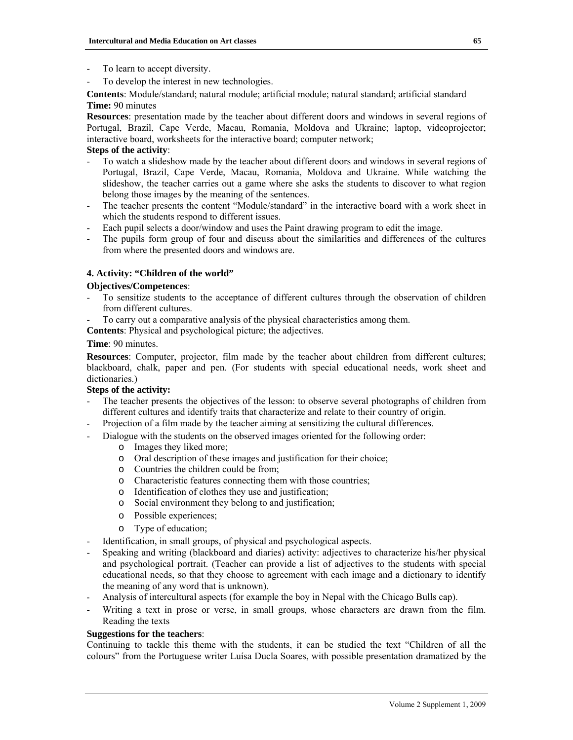- To learn to accept diversity.
- To develop the interest in new technologies.

**Contents**: Module/standard; natural module; artificial module; natural standard; artificial standard **Time:** 90 minutes

**Resources**: presentation made by the teacher about different doors and windows in several regions of Portugal, Brazil, Cape Verde, Macau, Romania, Moldova and Ukraine; laptop, videoprojector; interactive board, worksheets for the interactive board; computer network;

# **Steps of the activity**:

- To watch a slideshow made by the teacher about different doors and windows in several regions of Portugal, Brazil, Cape Verde, Macau, Romania, Moldova and Ukraine. While watching the slideshow, the teacher carries out a game where she asks the students to discover to what region belong those images by the meaning of the sentences.
- The teacher presents the content "Module/standard" in the interactive board with a work sheet in which the students respond to different issues.
- Each pupil selects a door/window and uses the Paint drawing program to edit the image.
- The pupils form group of four and discuss about the similarities and differences of the cultures from where the presented doors and windows are.

#### **4. Activity: "Children of the world"**

#### **Objectives/Competences**:

- To sensitize students to the acceptance of different cultures through the observation of children from different cultures.
- To carry out a comparative analysis of the physical characteristics among them.

**Contents**: Physical and psychological picture; the adjectives.

# **Time**: 90 minutes.

**Resources**: Computer, projector, film made by the teacher about children from different cultures; blackboard, chalk, paper and pen. (For students with special educational needs, work sheet and dictionaries.)

# **Steps of the activity:**

- The teacher presents the objectives of the lesson: to observe several photographs of children from different cultures and identify traits that characterize and relate to their country of origin.
- Projection of a film made by the teacher aiming at sensitizing the cultural differences.
- Dialogue with the students on the observed images oriented for the following order:
	- o Images they liked more;
	- o Oral description of these images and justification for their choice;
	- Countries the children could be from:
	- o Characteristic features connecting them with those countries;
	- o Identification of clothes they use and justification;
	- o Social environment they belong to and justification;
	- o Possible experiences;
	- o Type of education;
- Identification, in small groups, of physical and psychological aspects.
- Speaking and writing (blackboard and diaries) activity: adjectives to characterize his/her physical and psychological portrait. (Teacher can provide a list of adjectives to the students with special educational needs, so that they choose to agreement with each image and a dictionary to identify the meaning of any word that is unknown).
- Analysis of intercultural aspects (for example the boy in Nepal with the Chicago Bulls cap).
- Writing a text in prose or verse, in small groups, whose characters are drawn from the film. Reading the texts

#### **Suggestions for the teachers**:

Continuing to tackle this theme with the students, it can be studied the text "Children of all the colours" from the Portuguese writer Luísa Ducla Soares, with possible presentation dramatized by the